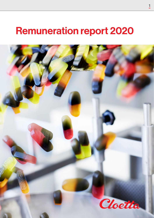# Remuneration report 2020

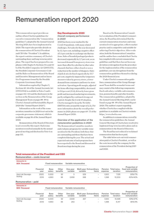# Remuneration report 2020

This remuneration report provides an outline of how Cloetta's guidelines for executive remuneration (the "remuneration guidelines"), adopted by the Annual General Meeting 2020, have been implemented in 2020. The report also provides details on the remuneration of Cloetta's President and CEO (the "President"). In addition, the report contains a summary of Cloetta's outstanding share and long-term incentive plans. The report has been prepared in compliance with Chapter 8, Sections 53 a and 53 b of the Swedish Companies Act (2005:551), the Swedish Corporate Governance Code and the Rules on Remuneration of the Board and Executive Management and on Incentive Programmes issued by the Swedish Corporate Governance Board.

Information required by Chapter 5, Sections 40-44 of the Annual Accounts Act (1995:1554) is available in Notes 5 and 6 on pages 112–113 and the disclosures in the section on the Remuneration of the Group Management Team on pages 88–89 in Cloetta's Annual and Sustainability Report 2020 (the "Annual Report 2020").

Information on the work of the remuneration committee in 2020 is set out in the corporate governance statement, which is available on page 86 of the Annual Report 2020.

Remuneration of the Board of Directors is not covered by this report. Such remuneration is resolved annually by the annual general meeting and disclosed in Note 6 on page 113.

# Key Developments 2020

### *Overall company performance in 2020*

2020 has been a year marked by the Covid-19 pandemic, with many related challenges. Net sales for the year decreased by 12.3 per cent, including a negative effect of 1.1 per cent due to exchange rate fluctuations. Sales of branded packaged products decreased organically by 2.7 per cent, as an increased demand from grocery stores was more than offset by a decline in other sales channels that have either closed or seen a reduction in the number of shoppers. Sales of pick & mix declined organically by 33.7 per cent, negatively impacted by temporary measures taken by grocery stores, a lower demand from consumers and lower in-store activation. Operating profit margin, adjusted for items affecting comparability, decreased to 9.0 per cent (11.4), driven by lower gross profit and increased marketing investments, partly mitigated by continued strong cost control. Despite the Covid-19 situation, Cloetta managed to keep the Net debt/ EBITDA ratio around the target of 2.5x. For more information about the overall performance in 2020, please see pages 69–75 of the Annual Report 2020.

*Overview of the application of the remuneration guidelines in 2020* The Remuneration Committee monitors and evaluates programs for variable remuneration for the President, both those that are outstanding and those that have been completed during the year. The actual and expected outcome of such programs have been reported to the Board and discussed at Board meetings during the year.

Based on the Remuneration Committee's evaluation of the President's remuneration, the Board has determined that the current remuneration structure and remuneration level is appropriate, reflects market practice and is competitive and suitable for achieving Cloetta's objectives. After evaluation, both the Remuneration Committee and the auditor have concluded that Cloetta has complied with current remuneration guidelines and that there has not been any deviation or derogation from the procedure for the implementation of the remuneration guidelines, nor any derogations from the remuneration guidelines themselves during the 2020 financial year.

Under Cloetta's remuneration guidelines, remuneration of the Group Management Team shall be on market terms and may consist of the following components: fixed cash salary, variable cash remuneration, pension benefits and other benefits. The remuneration guidelines, adopted by the Annual General Meeting 2020, can be found on page 88–89 of the Annual Report 2020. The auditor's report regarding whether Cloetta has complied with the guidelines is available on Cloetta's website https://www.cloetta.com.

In addition to remuneration covered by the remuneration guidelines, the Annual General Meetings of Cloetta have resolved to implement long-term incentive plans and on remuneration to the Board of Directors.

The Board has not reduced or reclaimed remuneration that has been paid.

The table below sets out total remuneration paid to Cloetta's President , as well as the costs incurred by the company for the remuneration of the President during 2019 and 2020.

# Total remuneration of the President and CEO

Remuneration – costs incurred

| <b>Amounts in</b><br><b>SEK Thousand</b> |                   | Variable remuneration<br><b>Fixed remuneration</b> |                   |                      |          |                                          |         |                                 |                                                     |
|------------------------------------------|-------------------|----------------------------------------------------|-------------------|----------------------|----------|------------------------------------------|---------|---------------------------------|-----------------------------------------------------|
|                                          | Financial<br>vear | <b>Base</b><br>salary                              | Other<br>benefits | One-vear<br>variable | variable | <b>Multi-year Extraordinary</b><br>items | expense | Pension Total remu-<br>neration | Proportion of<br>fixed and variable<br>remuneration |
| Henri de Sauvage-                        | 2020              | 5.000                                              | 92                | 5                    | 529      | $\overline{\phantom{a}}$                 | 1.500   | 7.126                           | 93%/7%                                              |
| Nolting                                  | 2019              | 4.660                                              | 96                | 3.658                | 388      | $\qquad \qquad$                          | .398    | 10.200                          | 60%/40%                                             |

# Remuneration – paid

| <b>Amounts in</b><br><b>SEK Thousand</b> |                   | <b>Fixed remuneration</b> |                   | Variable remuneration |          |                                   |         |                                 |                                                     |
|------------------------------------------|-------------------|---------------------------|-------------------|-----------------------|----------|-----------------------------------|---------|---------------------------------|-----------------------------------------------------|
|                                          | Financial<br>vear | <b>Base</b><br>salary     | Other<br>benefits | One-vear<br>variable  | variable | Multi-vear Extraordinary<br>items | expense | Pension Total remu-<br>neration | Proportion of<br>fixed and variable<br>remuneration |
| Henri de Sauvage-<br>Nolting             | 2020              | 5.000                     | 92                | 3.649                 | 257      | $\overline{\phantom{0}}$          | 1.500   | 10.498                          | 63%/37%                                             |
|                                          | 2019              | 4.660                     | 96                | 263                   | -        | -                                 | .398    | 6.417                           | 96%/4%                                              |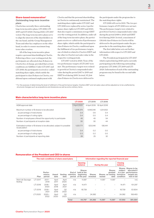#### Share-based remuneration\*

*Outstanding long-term incentive plans*

Cloetta has currently three outstanding long-term incentive plans, LTI 2018, LTI 2019 and LTI 2020. During 2020, LTI 2017 vested. The long-term incentive plans serve to align the interests of the shareholders on the one hand, and the Group Management Team and other key employees on the other hand, in order to ensure maximum longterm value creation.

All of the long-term incentive plans require a personal shareholding in Cloetta. Following a three-year vesting period, the participants are allocated class B shares in Cloetta free of charge, provided that certain conditions are fulfilled. Under LTI 2017 and LTI 2018, the participants received so-called matching share rights, which entitle the participant to class B shares in Cloetta, conditional upon continued employment with

Cloetta and that the personal shareholding in Cloetta is continuously maintained. The matching share rights under LTI 2017 and LTI 2018 were replaced by series A performance share rights in LTI 2019 and 2020, that also require a minimum average EBIT over the vesting period. In addition, under all of the long-term incentive plans, the participants receive so-called series B performance share rights, which entitle the participant to class B shares in Cloetta, conditional upon the fulfilment of two performance targets, one of which is related to Cloetta's EBIT and the other to Cloetta's net sales value in the respective vesting periods.

LTI 2017 vested in 2020. None of the two performance targets of LTI 2017 were met. The performance targets were related to growth in Cloetta's compounded sales value during the period 2017 to 2019 and EBIT level during 2019. In total, 95,264 class B shares in Cloetta were delivered to

the participants under the program due to the matching share rights.

LTI 2018 will vest in 2021. The two performance targets of LTI 2018 were not met. The performance targets were related to growth in Cloetta's compounded sales value during the period 2018 to 2020 and EBIT level during 2020. In total, a maximum of 138,441 class B shares in Cloetta will be delivered to the participants under the program due to the matching share rights.

The first table below sets out further information with respect to LTI 2019 and LTI 2020.

The President participated in LTI 2017 which expired during 2020 and is currently participating in the following outstanding programs: LTI 2018, LTI 2019 and LTI 2020. Information of each of the outstanding programs may be found in the second table below.

\* For the purpose of determining the level of fulfilment of the performance targets, Cloetta's EBIT and net sales value will be adjusted so to be unaffected by structural changes such as acquisitions and divestures as well as extra ordinary items.

#### Main characteristics long-term incentive plans

|                                                                                    | <b>LTI 2020</b> | LTI 2019     | LTI 2018      |
|------------------------------------------------------------------------------------|-----------------|--------------|---------------|
| AGM approval date                                                                  | 2 April 2020    | 4 April 2019 | 16 April 2018 |
| Maximum number of B shares to be allocated                                         | 1.206.374       | 1.648.046    | 1.201.602     |
| as percentage of total shares                                                      | 0.4             | 0.6          | 0.4           |
| as percentage of voting rights                                                     | 0.4             | 0.5          | 0.4           |
| Number of employees offered the opportunity to participate                         | 45              | 45           | 54            |
| Number of participants at inception date                                           | 30              | 30           | 44            |
| Estimated number of B shares to be allocated, subject to possible<br>recalculation | 1.021.771       | 523.046      | 138.441       |
| as percentage of total shares                                                      | 0.4             | 0.2          | 0.0           |
| as percentage of voting rights                                                     | 0.3             | 0.2          | 0.0           |
| Number of participants at reporting date                                           | 28              | 25           | 32            |

#### Remuneration of the President and CEO in shares

|                                     | The main conditions of share award plans |                            |               |                 |                               | Information regarding the reported financial year        |                           |        |                                                       |                                  |                                                                                            |  |
|-------------------------------------|------------------------------------------|----------------------------|---------------|-----------------|-------------------------------|----------------------------------------------------------|---------------------------|--------|-------------------------------------------------------|----------------------------------|--------------------------------------------------------------------------------------------|--|
|                                     |                                          |                            |               |                 |                               | <b>Opening</b><br>balance                                | During the year           |        |                                                       | <b>Closing</b><br>balance        |                                                                                            |  |
|                                     | Plan                                     | Perfor-<br>mance<br>period | Award<br>date | Vesting<br>date | End of<br>retention<br>period | <b>Shares</b><br>held at the<br>beginning<br>of the year | <b>Shares</b><br>invested | vested | <b>Shares</b><br>granted<br>Shares on vesting<br>date | subject<br>formance<br>condition | Shares Shares to be<br>allocated if<br>to a per- performance<br>targets are<br>met in full |  |
| Henri de Sauvage-<br><b>Nolting</b> | LTI 2017                                 | $2017 -$<br>2019           | April<br>2017 | April<br>2020   | n/a                           | 11,587                                                   | -                         | 11,587 | 11,587                                                |                                  | n/a                                                                                        |  |
|                                     | LTI 2018                                 | $2018 -$<br>2020           | April<br>2018 | April<br>2021   | n/a                           | 14,471                                                   |                           |        | $\overline{\phantom{0}}$                              | 14,471                           | 101,297                                                                                    |  |
|                                     | LTI 2019                                 | $2019 -$<br>2021           | April<br>2019 | Q2<br>2022      | n/a                           | 18.739                                                   |                           |        | $\overline{\phantom{a}}$                              | 18,739                           | 121,804                                                                                    |  |
|                                     | LTI 2020                                 | $2020 -$<br>2022           | April<br>2020 | Q2<br>2023      | n/a                           | $\qquad \qquad$                                          | 24,382                    |        | $\overline{\phantom{0}}$                              | 24,382                           | 158,483                                                                                    |  |
|                                     |                                          |                            |               |                 | Total                         | 44.797                                                   | 24,382                    | 11,587 | 11,587                                                | 57,592                           | 381,584                                                                                    |  |